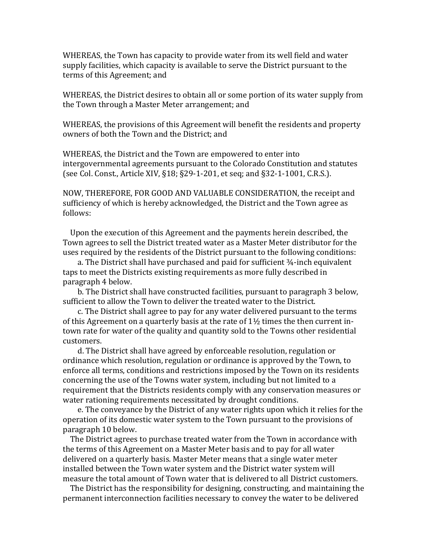WHEREAS, the Town has capacity to provide water from its well field and water supply facilities, which capacity is available to serve the District pursuant to the terms of this Agreement; and

WHEREAS, the District desires to obtain all or some portion of its water supply from the Town through a Master Meter arrangement; and

WHEREAS, the provisions of this Agreement will benefit the residents and property owners of both the Town and the District; and

WHEREAS, the District and the Town are empowered to enter into intergovernmental agreements pursuant to the Colorado Constitution and statutes (see Col. Const., Article XIV,  $\S 18$ ;  $\S 29$ -1-201, et seq; and  $\S 32$ -1-1001, C.R.S.).

NOW, THEREFORE, FOR GOOD AND VALUABLE CONSIDERATION, the receipt and sufficiency of which is hereby acknowledged, the District and the Town agree as follows:

Upon the execution of this Agreement and the payments herein described, the Town agrees to sell the District treated water as a Master Meter distributor for the uses required by the residents of the District pursuant to the following conditions:

a. The District shall have purchased and paid for sufficient  $\frac{3}{4}$ -inch equivalent taps to meet the Districts existing requirements as more fully described in paragraph 4 below.

b. The District shall have constructed facilities, pursuant to paragraph 3 below, sufficient to allow the Town to deliver the treated water to the District.

c. The District shall agree to pay for any water delivered pursuant to the terms of this Agreement on a quarterly basis at the rate of  $1\frac{1}{2}$  times the then current intown rate for water of the quality and quantity sold to the Towns other residential customers.

d. The District shall have agreed by enforceable resolution, regulation or ordinance which resolution, regulation or ordinance is approved by the Town, to enforce all terms, conditions and restrictions imposed by the Town on its residents concerning the use of the Towns water system, including but not limited to a requirement that the Districts residents comply with any conservation measures or water rationing requirements necessitated by drought conditions.

e. The conveyance by the District of any water rights upon which it relies for the operation of its domestic water system to the Town pursuant to the provisions of paragraph 10 below.

The District agrees to purchase treated water from the Town in accordance with the terms of this Agreement on a Master Meter basis and to pay for all water delivered on a quarterly basis. Master Meter means that a single water meter installed between the Town water system and the District water system will measure the total amount of Town water that is delivered to all District customers.

The District has the responsibility for designing, constructing, and maintaining the permanent interconnection facilities necessary to convey the water to be delivered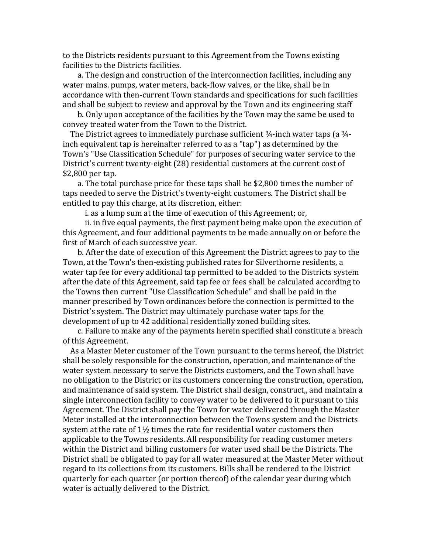to the Districts residents pursuant to this Agreement from the Towns existing facilities to the Districts facilities.

a. The design and construction of the interconnection facilities, including any water mains, pumps, water meters, back-flow valves, or the like, shall be in accordance with then-current Town standards and specifications for such facilities and shall be subject to review and approval by the Town and its engineering staff

b. Only upon acceptance of the facilities by the Town may the same be used to convey treated water from the Town to the District.

The District agrees to immediately purchase sufficient  $\frac{3}{4}$ -inch water taps (a  $\frac{3}{4}$ inch equivalent tap is hereinafter referred to as a "tap") as determined by the Town's "Use Classification Schedule" for purposes of securing water service to the District's current twenty-eight (28) residential customers at the current cost of \$2,800 per tap.

a. The total purchase price for these taps shall be \$2,800 times the number of taps needed to serve the District's twenty-eight customers. The District shall be entitled to pay this charge, at its discretion, either:

i. as a lump sum at the time of execution of this Agreement; or,

ii. in five equal payments, the first payment being make upon the execution of this Agreement, and four additional payments to be made annually on or before the first of March of each successive year.

b. After the date of execution of this Agreement the District agrees to pay to the Town, at the Town's then-existing published rates for Silverthorne residents, a water tap fee for every additional tap permitted to be added to the Districts system after the date of this Agreement, said tap fee or fees shall be calculated according to the Towns then current "Use Classification Schedule" and shall be paid in the manner prescribed by Town ordinances before the connection is permitted to the District's system. The District may ultimately purchase water taps for the development of up to 42 additional residentially zoned building sites.

c. Failure to make any of the payments herein specified shall constitute a breach of this Agreement.

As a Master Meter customer of the Town pursuant to the terms hereof, the District shall be solely responsible for the construction, operation, and maintenance of the water system necessary to serve the Districts customers, and the Town shall have no obligation to the District or its customers concerning the construction, operation, and maintenance of said system. The District shall design, construct,, and maintain a single interconnection facility to convey water to be delivered to it pursuant to this Agreement. The District shall pay the Town for water delivered through the Master Meter installed at the interconnection between the Towns system and the Districts system at the rate of  $1\frac{1}{2}$  times the rate for residential water customers then applicable to the Towns residents. All responsibility for reading customer meters within the District and billing customers for water used shall be the Districts. The District shall be obligated to pay for all water measured at the Master Meter without regard to its collections from its customers. Bills shall be rendered to the District quarterly for each quarter (or portion thereof) of the calendar year during which water is actually delivered to the District.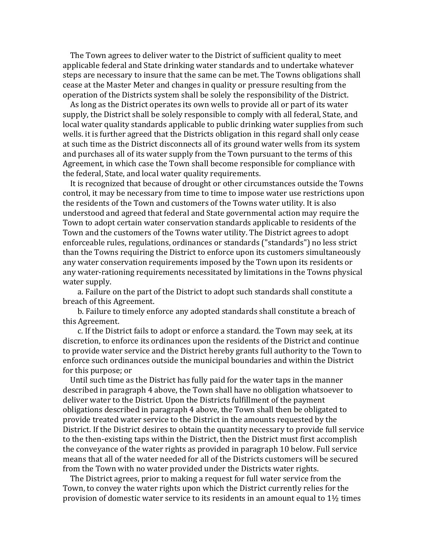The Town agrees to deliver water to the District of sufficient quality to meet applicable federal and State drinking water standards and to undertake whatever steps are necessary to insure that the same can be met. The Towns obligations shall cease at the Master Meter and changes in quality or pressure resulting from the operation of the Districts system shall be solely the responsibility of the District.

As long as the District operates its own wells to provide all or part of its water supply, the District shall be solely responsible to comply with all federal, State, and local water quality standards applicable to public drinking water supplies from such wells. it is further agreed that the Districts obligation in this regard shall only cease at such time as the District disconnects all of its ground water wells from its system and purchases all of its water supply from the Town pursuant to the terms of this Agreement, in which case the Town shall become responsible for compliance with the federal, State, and local water quality requirements.

It is recognized that because of drought or other circumstances outside the Towns control, it may be necessary from time to time to impose water use restrictions upon the residents of the Town and customers of the Towns water utility. It is also understood and agreed that federal and State governmental action may require the Town to adopt certain water conservation standards applicable to residents of the Town and the customers of the Towns water utility. The District agrees to adopt enforceable rules, regulations, ordinances or standards ("standards") no less strict than the Towns requiring the District to enforce upon its customers simultaneously any water conservation requirements imposed by the Town upon its residents or any water-rationing requirements necessitated by limitations in the Towns physical water supply.

a. Failure on the part of the District to adopt such standards shall constitute a breach of this Agreement.

b. Failure to timely enforce any adopted standards shall constitute a breach of this Agreement.

c. If the District fails to adopt or enforce a standard. the Town may seek, at its discretion, to enforce its ordinances upon the residents of the District and continue to provide water service and the District hereby grants full authority to the Town to enforce such ordinances outside the municipal boundaries and within the District for this purpose; or

Until such time as the District has fully paid for the water taps in the manner described in paragraph 4 above, the Town shall have no obligation whatsoever to deliver water to the District. Upon the Districts fulfillment of the payment obligations described in paragraph 4 above, the Town shall then be obligated to provide treated water service to the District in the amounts requested by the District. If the District desires to obtain the quantity necessary to provide full service to the then-existing taps within the District, then the District must first accomplish the conveyance of the water rights as provided in paragraph 10 below. Full service means that all of the water needed for all of the Districts customers will be secured from the Town with no water provided under the Districts water rights.

The District agrees, prior to making a request for full water service from the Town, to convey the water rights upon which the District currently relies for the provision of domestic water service to its residents in an amount equal to  $1\frac{1}{2}$  times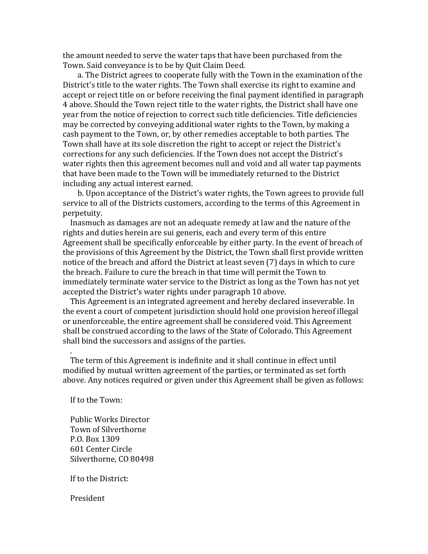the amount needed to serve the water taps that have been purchased from the Town. Said conveyance is to be by Quit Claim Deed.

a. The District agrees to cooperate fully with the Town in the examination of the District's title to the water rights. The Town shall exercise its right to examine and accept or reject title on or before receiving the final payment identified in paragraph 4 above. Should the Town reject title to the water rights, the District shall have one year from the notice of rejection to correct such title deficiencies. Title deficiencies may be corrected by conveying additional water rights to the Town, by making a cash payment to the Town, or, by other remedies acceptable to both parties. The Town shall have at its sole discretion the right to accept or reject the District's corrections for any such deficiencies. If the Town does not accept the District's water rights then this agreement becomes null and yoid and all water tap payments that have been made to the Town will be immediately returned to the District including any actual interest earned.

b. Upon acceptance of the District's water rights, the Town agrees to provide full service to all of the Districts customers, according to the terms of this Agreement in perpetuity.

Inasmuch as damages are not an adequate remedy at law and the nature of the rights and duties herein are sui generis, each and every term of this entire Agreement shall be specifically enforceable by either party. In the event of breach of the provisions of this Agreement by the District, the Town shall first provide written notice of the breach and afford the District at least seven (7) days in which to cure the breach. Failure to cure the breach in that time will permit the Town to immediately terminate water service to the District as long as the Town has not yet accepted the District's water rights under paragraph 10 above.

This Agreement is an integrated agreement and hereby declared inseverable. In the event a court of competent jurisdiction should hold one provision hereof illegal or unenforceable, the entire agreement shall be considered void. This Agreement shall be construed according to the laws of the State of Colorado. This Agreement shall bind the successors and assigns of the parties.

The term of this Agreement is indefinite and it shall continue in effect until modified by mutual written agreement of the parties, or terminated as set forth above. Any notices required or given under this Agreement shall be given as follows:

If to the Town:

 .

 Public Works Director Town of Silverthorne P.O. Box 1309 601 Center Circle Silverthorne, CO 80498

If to the District:

 President